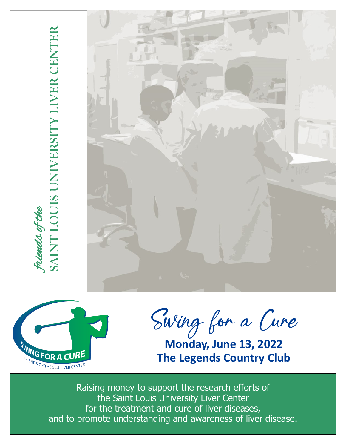



Swing for a Cure

**Monday, June 13, 2022 The Legends Country Club**

Raising money to support the research efforts of the Saint Louis University Liver Center for the treatment and cure of liver diseases, and to promote understanding and awareness of liver disease.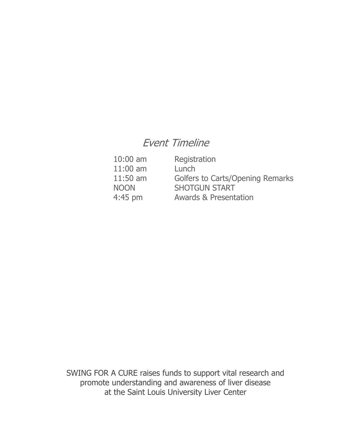# Event Timeline

| $10:00$ am  | Registration                            |
|-------------|-----------------------------------------|
| $11:00$ am  | Lunch                                   |
| $11:50$ am  | <b>Golfers to Carts/Opening Remarks</b> |
| <b>NOON</b> | <b>SHOTGUN START</b>                    |
| $4:45$ pm   | <b>Awards &amp; Presentation</b>        |

SWING FOR A CURE raises funds to support vital research and promote understanding and awareness of liver disease at the Saint Louis University Liver Center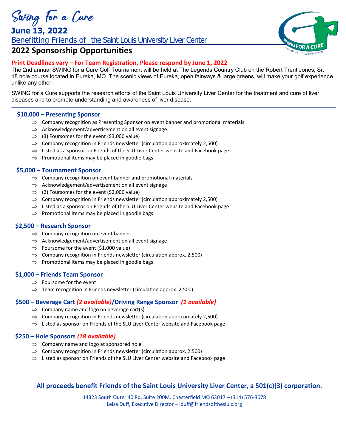*<u>Swing for a Cure*<br>June 13, 2022</u>

Benefitting Friends of the Saint Louis University Liver Center



## **2022 Sponsorship Opportunities**

## **Print Deadlines vary – For Team Registration, Please respond by June 1, 2022**

The 2nd annual SWING for a Cure Golf Tournament will be held at The Legends Country Club on the Robert Trent Jones, Sr. 18 hole course located in Eureka, MO. The scenic views of Eureka, open fairways & large greens, will make your golf experience unlike any other.

SWING for a Cure supports the research efforts of the Saint Louis University Liver Center for the treatment and cure of liver diseases and to promote understanding and awareness of liver disease.

### **\$10,000 – Presenting Sponsor**

- $\Rightarrow$  Company recognition as Presenting Sponsor on event banner and promotional materials
- $\Rightarrow$  Acknowledgement/advertisement on all event signage
- $\Rightarrow$  (3) Foursomes for the event (\$3,000 value)
- $\implies$  Company recognition in Friends newsletter (circulation approximately 2,500)
- $\Rightarrow$  Listed as a sponsor on Friends of the SLU Liver Center website and Facebook page
- $\Rightarrow$  Promotional items may be placed in goodie bags

#### **\$5,000 – Tournament Sponsor**

- $\Rightarrow$  Company recognition on event banner and promotional materials
- $\Rightarrow$  Acknowledgement/advertisement on all event signage
- $\Rightarrow$  (2) Foursomes for the event (\$2,000 value)
- $\implies$  Company recognition in Friends newsletter (circulation approximately 2,500)
- $\Rightarrow$  Listed as a sponsor on Friends of the SLU Liver Center website and Facebook page
- $\Rightarrow$  Promotional items may be placed in goodie bags

#### **\$2,500 – Research Sponsor**

- $\Rightarrow$  Company recognition on event banner
- $\Rightarrow$  Acknowledgement/advertisement on all event signage
- $\Rightarrow$  Foursome for the event (\$1,000 value)
- $\Rightarrow$  Company recognition in Friends newsletter (circulation approx. 2,500)
- $\Rightarrow$  Promotional items may be placed in goodie bags

#### **\$1,000 – Friends Team Sponsor**

- $\Rightarrow$  Foursome for the event
- $\Rightarrow$  Team recognition in Friends newsletter (circulation approx. 2,500)

### **\$500 – Beverage Cart** *(2 available)***/Driving Range Sponsor** *(1 available)*

- $\Rightarrow$  Company name and logo on beverage cart(s)
- $\implies$  Company recognition in Friends newsletter (circulation approximately 2,500)
- $\Rightarrow$  Listed as sponsor on Friends of the SLU Liver Center website and Facebook page

### **\$250 – Hole Sponsors** *(18 available)*

- $\Rightarrow$  Company name and logo at sponsored hole
- $\Rightarrow$  Company recognition in Friends newsletter (circulation approx. 2,500)
- $\Rightarrow$  Listed as sponsor on Friends of the SLU Liver Center website and Facebook page

## **All proceeds benefit Friends of the Saint Louis University Liver Center, a 501(c)(3) corporation.**

14323 South Outer 40 Rd. Suite 200M, Chesterfield MO 63017 – (314) 576-3078 Leisa Duff, Executive Director – lduff@friendsoftheslulc.org